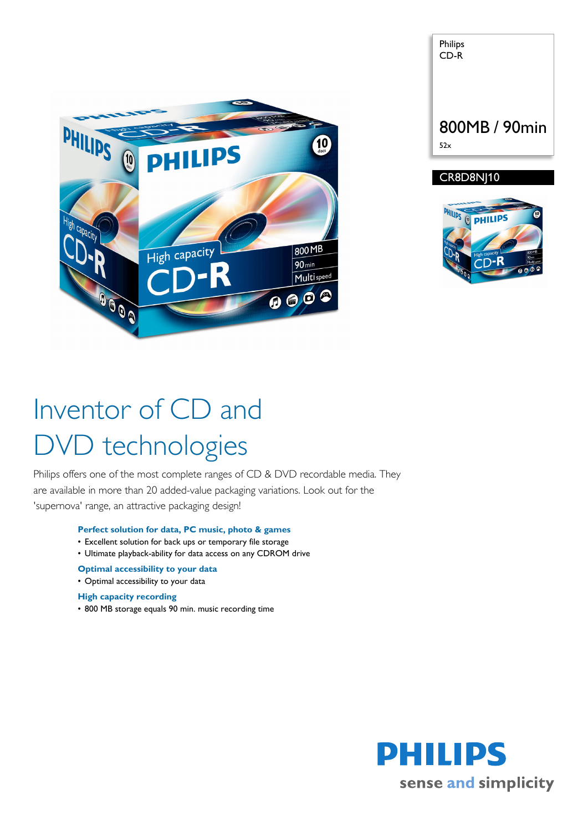



# Inventor of CD and DVD technologies

Philips offers one of the most complete ranges of CD & DVD recordable media. They are available in more than 20 added-value packaging variations. Look out for the 'supernova' range, an attractive packaging design!

### **Perfect solution for data, PC music, photo & games**

- Excellent solution for back ups or temporary file storage
- Ultimate playback-ability for data access on any CDROM drive
- **Optimal accessibility to your data**
- Optimal accessibility to your data

#### **High capacity recording**

• 800 MB storage equals 90 min. music recording time